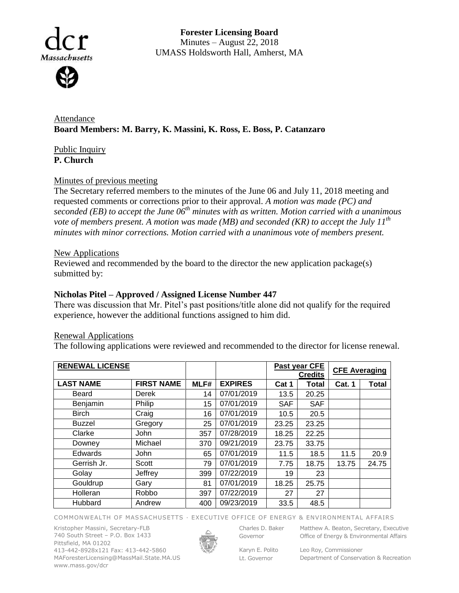

**Forester Licensing Board**  Minutes – August 22, 2018 UMASS Holdsworth Hall, Amherst, MA

Attendance **Board Members: M. Barry, K. Massini, K. Ross, E. Boss, P. Catanzaro**

Public Inquiry **P. Church**

# Minutes of previous meeting

The Secretary referred members to the minutes of the June 06 and July 11, 2018 meeting and requested comments or corrections prior to their approval. *A motion was made (PC) and seconded (EB) to accept the June 06th minutes with as written. Motion carried with a unanimous vote of members present. A motion was made (MB) and seconded (KR) to accept the July 11th minutes with minor corrections. Motion carried with a unanimous vote of members present.*

# New Applications

Reviewed and recommended by the board to the director the new application package(s) submitted by:

## **Nicholas Pitel – Approved / Assigned License Number 447**

There was discussion that Mr. Pitel's past positions/title alone did not qualify for the required experience, however the additional functions assigned to him did.

### Renewal Applications

The following applications were reviewed and recommended to the director for license renewal.

| <b>RENEWAL LICENSE</b> |                   |      |                | Past year CFE<br><b>Credits</b> |              | <b>CFE Averaging</b> |       |
|------------------------|-------------------|------|----------------|---------------------------------|--------------|----------------------|-------|
| <b>LAST NAME</b>       | <b>FIRST NAME</b> | MLF# | <b>EXPIRES</b> | Cat 1                           | <b>Total</b> | <b>Cat. 1</b>        | Total |
| Beard                  | Derek             | 14   | 07/01/2019     | 13.5                            | 20.25        |                      |       |
| Benjamin               | Philip            | 15   | 07/01/2019     | <b>SAF</b>                      | <b>SAF</b>   |                      |       |
| <b>Birch</b>           | Craig             | 16   | 07/01/2019     | 10.5                            | 20.5         |                      |       |
| <b>Buzzel</b>          | Gregory           | 25   | 07/01/2019     | 23.25                           | 23.25        |                      |       |
| Clarke                 | John              | 357  | 07/28/2019     | 18.25                           | 22.25        |                      |       |
| Downey                 | Michael           | 370  | 09/21/2019     | 23.75                           | 33.75        |                      |       |
| Edwards                | <b>John</b>       | 65   | 07/01/2019     | 11.5                            | 18.5         | 11.5                 | 20.9  |
| Gerrish Jr.            | Scott             | 79   | 07/01/2019     | 7.75                            | 18.75        | 13.75                | 24.75 |
| Golay                  | Jeffrey           | 399  | 07/22/2019     | 19                              | 23           |                      |       |
| Gouldrup               | Gary              | 81   | 07/01/2019     | 18.25                           | 25.75        |                      |       |
| Holleran               | Robbo             | 397  | 07/22/2019     | 27                              | 27           |                      |       |
| Hubbard                | Andrew            | 400  | 09/23/2019     | 33.5                            | 48.5         |                      |       |

COMMONWEALTH OF MASSACHUSETTS · EXECUTIVE OFFICE OF ENERGY & ENVIRONMENTAL AFFAIRS

Kristopher Massini, Secretary-FLB 740 South Street – P.O. Box 1433 Pittsfield, MA 01202 413-442-8928x121 Fax: 413-442-5860 MAForesterLicensing@MassMail.State.MA.US www.mass.gov/dcr



Governor

Karyn E. Polito Lt. Governor

Charles D. Baker Matthew A. Beaton, Secretary, Executive Office of Energy & Environmental Affairs

> Leo Roy, Commissioner Department of Conservation & Recreation